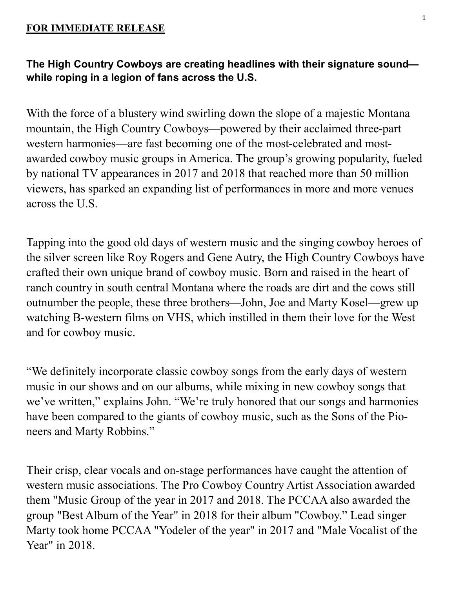## **FOR IMMEDIATE RELEASE**

## **The High Country Cowboys are creating headlines with their signature sound while roping in a legion of fans across the U.S.**

With the force of a blustery wind swirling down the slope of a majestic Montana mountain, the High Country Cowboys—powered by their acclaimed three-part western harmonies—are fast becoming one of the most-celebrated and mostawarded cowboy music groups in America. The group's growing popularity, fueled by national TV appearances in 2017 and 2018 that reached more than 50 million viewers, has sparked an expanding list of performances in more and more venues across the U.S.

Tapping into the good old days of western music and the singing cowboy heroes of the silver screen like Roy Rogers and Gene Autry, the High Country Cowboys have crafted their own unique brand of cowboy music. Born and raised in the heart of ranch country in south central Montana where the roads are dirt and the cows still outnumber the people, these three brothers—John, Joe and Marty Kosel—grew up watching B-western films on VHS, which instilled in them their love for the West and for cowboy music.

"We definitely incorporate classic cowboy songs from the early days of western music in our shows and on our albums, while mixing in new cowboy songs that we've written," explains John. "We're truly honored that our songs and harmonies have been compared to the giants of cowboy music, such as the Sons of the Pioneers and Marty Robbins."

Their crisp, clear vocals and on-stage performances have caught the attention of western music associations. The Pro Cowboy Country Artist Association awarded them "Music Group of the year in 2017 and 2018. The PCCAA also awarded the group "Best Album of the Year" in 2018 for their album "Cowboy." Lead singer Marty took home PCCAA "Yodeler of the year" in 2017 and "Male Vocalist of the Year" in 2018.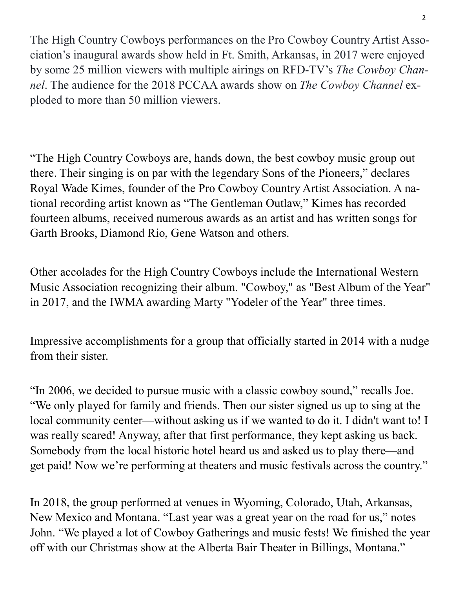The High Country Cowboys performances on the Pro Cowboy Country Artist Association's inaugural awards show held in Ft. Smith, Arkansas, in 2017 were enjoyed by some 25 million viewers with multiple airings on RFD-TV's *The Cowboy Channel*. The audience for the 2018 PCCAA awards show on *The Cowboy Channel* exploded to more than 50 million viewers.

"The High Country Cowboys are, hands down, the best cowboy music group out there. Their singing is on par with the legendary Sons of the Pioneers," declares Royal Wade Kimes, founder of the Pro Cowboy Country Artist Association. A national recording artist known as "The Gentleman Outlaw," Kimes has recorded fourteen albums, received numerous awards as an artist and has written songs for Garth Brooks, Diamond Rio, Gene Watson and others.

Other accolades for the High Country Cowboys include the International Western Music Association recognizing their album. "Cowboy," as "Best Album of the Year" in 2017, and the IWMA awarding Marty "Yodeler of the Year" three times.

Impressive accomplishments for a group that officially started in 2014 with a nudge from their sister.

"In 2006, we decided to pursue music with a classic cowboy sound," recalls Joe. "We only played for family and friends. Then our sister signed us up to sing at the local community center—without asking us if we wanted to do it. I didn't want to! I was really scared! Anyway, after that first performance, they kept asking us back. Somebody from the local historic hotel heard us and asked us to play there—and get paid! Now we're performing at theaters and music festivals across the country."

In 2018, the group performed at venues in Wyoming, Colorado, Utah, Arkansas, New Mexico and Montana. "Last year was a great year on the road for us," notes John. "We played a lot of Cowboy Gatherings and music fests! We finished the year off with our Christmas show at the Alberta Bair Theater in Billings, Montana."